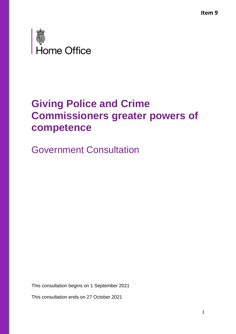**Item 9**



## **Giving Police and Crime Commissioners greater powers of competence**

Government Consultation

This consultation begins on 1 September 2021

This consultation ends on 27 October 2021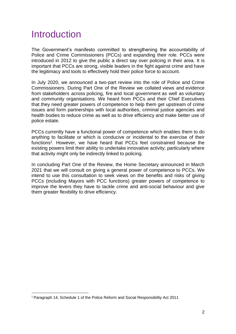### **Introduction**

The Government's manifesto committed to strengthening the accountability of Police and Crime Commissioners (PCCs) and expanding their role. PCCs were introduced in 2012 to give the public a direct say over policing in their area. It is important that PCCs are strong, visible leaders in the fight against crime and have the legitimacy and tools to effectively hold their police force to account.

In July 2020, we announced a two-part review into the role of Police and Crime Commissioners. During Part One of the Review we collated views and evidence from stakeholders across policing, fire and local government as well as voluntary and community organisations. We heard from PCCs and their Chief Executives that they need greater powers of competence to help them get upstream of crime issues and form partnerships with local authorities, criminal justice agencies and health bodies to reduce crime as well as to drive efficiency and make better use of police estate.

PCCs currently have a functional power of competence which enables them to do anything to facilitate or which is conducive or incidental to the exercise of their functions<sup>1</sup>. However, we have heard that PCCs feel constrained because the existing powers limit their ability to undertake innovative activity; particularly where that activity might only be indirectly linked to policing.

In concluding Part One of the Review, the Home Secretary announced in March 2021 that we will consult on giving a general power of competence to PCCs. We intend to use this consultation to seek views on the benefits and risks of giving PCCs (including Mayors with PCC functions) greater powers of competence to improve the levers they have to tackle crime and anti-social behaviour and give them greater flexibility to drive efficiency.

<sup>1</sup> Paragraph 14, Schedule 1 of the Police Reform and Social Responsibility Act 2011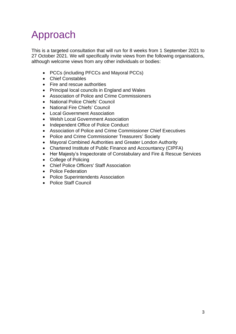# Approach

This is a targeted consultation that will run for 8 weeks from 1 September 2021 to 27 October 2021. We will specifically invite views from the following organisations, although welcome views from any other individuals or bodies:

- PCCs (including PFCCs and Mayoral PCCs)
- Chief Constables
- Fire and rescue authorities
- Principal local councils in England and Wales
- Association of Police and Crime Commissioners
- National Police Chiefs' Council
- National Fire Chiefs' Council
- Local Government Association
- Welsh Local Government Association
- Independent Office of Police Conduct
- Association of Police and Crime Commissioner Chief Executives
- Police and Crime Commissioner Treasurers' Society
- Mayoral Combined Authorities and Greater London Authority
- Chartered Institute of Public Finance and Accountancy (CIPFA)
- Her Majesty's Inspectorate of Constabulary and Fire & Rescue Services
- College of Policing
- Chief Police Officers' Staff Association
- Police Federation
- Police Superintendents Association
- Police Staff Council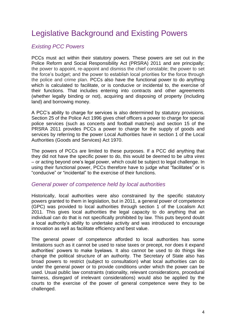### Legislative Background and Existing Powers

#### *Existing PCC Powers*

PCCs must act within their statutory powers. These powers are set out in the Police Reform and Social Responsibility Act (PRSRA) 2011 and are principally; the power to appoint, re-appoint and dismiss the chief constable; the power to set the force's budget; and the power to establish local priorities for the force through the police and crime plan. PCCs also have the functional power to do anything which is calculated to facilitate, or is conducive or incidental to, the exercise of their functions. That includes entering into contracts and other agreements (whether legally binding or not), acquiring and disposing of property (including land) and borrowing money.

A PCC's ability to charge for services is also determined by statutory provisions. Section 25 of the Police Act 1996 gives chief officers a power to charge for special police services (such as concerts and football matches) and section 15 of the PRSRA 2011 provides PCCs a power to charge for the supply of goods and services by referring to the power Local Authorities have in section 1 of the Local Authorities (Goods and Services) Act 1970.

The powers of PCCs are limited to these purposes. If a PCC did anything that they did not have the specific power to do, this would be deemed to be *ultra vires* – or acting beyond one's legal power, which could be subject to legal challenge. In using their functional power, PCCs therefore have to judge what "facilitates" or is "conducive" or "incidental" to the exercise of their functions.

#### *General power of competence held by local authorities*

Historically, local authorities were also constrained by the specific statutory powers granted to them in legislation, but in 2011, a general power of competence (GPC) was provided to local authorities through section 1 of the Localism Act 2011. This gives local authorities the legal capacity to do anything that an individual can do that is not specifically prohibited by law. This puts beyond doubt a local authority's ability to undertake activity and was introduced to encourage innovation as well as facilitate efficiency and best value.

The general power of competence afforded to local authorities has some limitations such as it cannot be used to raise taxes or precept, nor does it expand authorities' powers to make byelaws. It also cannot be used to do things like change the political structure of an authority. The Secretary of State also has broad powers to restrict (subject to consultation) what local authorities can do under the general power or to provide conditions under which the power can be used. Usual public law constraints (rationality, relevant considerations, procedural fairness, disregard of irrelevant considerations) would also be applied by the courts to the exercise of the power of general competence were they to be challenged.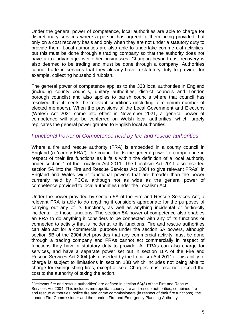Under the general power of competence, local authorities are able to charge for discretionary services where a person has agreed to them being provided, but only on a cost recovery basis and only when they are not under a statutory duty to provide them. Local authorities are also able to undertake commercial activities, but this must be done through a trading company so that the authority does not have a tax advantage over other businesses. Charging beyond cost recovery is also deemed to be trading and must be done through a company. Authorities cannot trade in services that they already have a statutory duty to provide; for example, collecting household rubbish.

The general power of competence applies to the 333 local authorities in England (including county councils, unitary authorities, district councils and London borough councils) and also applies to parish councils where that council has resolved that it meets the relevant conditions (including a minimum number of elected members). When the provisions of the Local Government and Elections (Wales) Act 2021 come into effect in November 2021, a general power of competence will also be conferred on Welsh local authorities, which largely replicates the general power granted to English local authorities.

#### *Functional Power of Competence held by fire and rescue authorities*

Where a fire and rescue authority (FRA) is embedded in a county council in England (a "county FRA"), the council holds the general power of competence in respect of their fire functions as it falls within the definition of a local authority under section 1 of the Localism Act 2011. The Localism Act 2011 also inserted section 5A into the Fire and Rescue Services Act 2004 to give relevant FRAs<sup>2</sup> in England and Wales wider functional powers that are broader than the power currently held by PCCs, although not as wide as the general power of competence provided to local authorities under the Localism Act.

Under the power provided by section 5A of the Fire and Rescue Services Act, a relevant FRA is able to do anything it considers appropriate for the purposes of carrying out any of its functions, as well as anything incidental or 'indirectly incidental' to those functions. The section 5A power of competence also enables an FRA to do anything it considers to be connected with any of its functions or connected to activity that is incidental to its functions. Fire and rescue authorities can also act for a commercial purpose under the section 5A powers, although section 5B of the 2004 Act provides that any commercial activity must be done through a trading company and FRAs cannot act commercially in respect of functions they have a statutory duty to provide. All FRAs can also charge for services, and have a separate power set out in section 18A of the Fire and Rescue Services Act 2004 (also inserted by the Localism Act 2011). This ability to charge is subject to limitations in section 18B which includes not being able to charge for extinguishing fires, except at sea. Charges must also not exceed the cost to the authority of taking the action.

<sup>2</sup> "relevant fire and rescue authorities" are defined in section 5A(3) of the Fire and Rescue Services Act 2004. This includes metropolitan county fire and rescue authorities, combined fire and rescue authorities, police fire and crime commissioners (in respect of their fire functions), the London Fire Commissioner and the London Fire and Emergency Planning Authority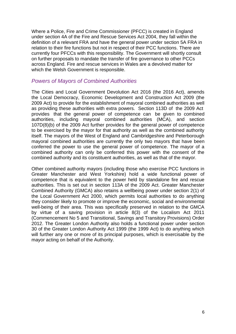Where a Police, Fire and Crime Commissioner (PFCC) is created in England under section 4A of the Fire and Rescue Services Act 2004, they fall within the definition of a relevant FRA and have the general power under section 5A FRA in relation to their fire functions but not in respect of their PCC functions. There are currently four PFCCs with this responsibility. The Government will shortly consult on further proposals to mandate the transfer of fire governance to other PCCs across England. Fire and rescue services in Wales are a devolved matter for which the Welsh Government is responsible.

#### *Powers of Mayors of Combined Authorities*

The Cities and Local Government Devolution Act 2016 (the 2016 Act), amends the Local Democracy, Economic Development and Construction Act 2009 (the 2009 Act) to provide for the establishment of mayoral combined authorities as well as providing these authorities with extra powers. Section 113D of the 2009 Act provides that the general power of competence can be given to combined authorities, including mayoral combined authorities (MCA), and section 107D(8)(b) of the 2009 Act further provides for the general power of competence to be exercised by the mayor for that authority as well as the combined authority itself. The mayors of the West of England and Cambridgeshire and Peterborough mayoral combined authorities are currently the only two mayors that have been conferred the power to use the general power of competence. The mayor of a combined authority can only be conferred this power with the consent of the combined authority and its constituent authorities, as well as that of the mayor.

Other combined authority mayors (including those who exercise PCC functions in Greater Manchester and West Yorkshire) hold a wide functional power of competence that is equivalent to the power held by standalone fire and rescue authorities. This is set out in section 113A of the 2009 Act. Greater Manchester Combined Authority (GMCA) also retains a wellbeing power under section 2(1) of the Local Government Act 2000, which permits local authorities to do anything they consider likely to promote or improve the economic, social and environmental well-being of their area. This was specifically preserved in relation to the GMCA by virtue of a saving provision in article 8(3) of the Localism Act 2011 (Commencement No 5 and Transitional, Savings and Transitory Provisions) Order 2012. The Greater London Authority also holds a functional power under section 30 of the Greater London Authority Act 1999 (the 1999 Act) to do anything which will further any one or more of its principal purposes, which is exercisable by the mayor acting on behalf of the Authority.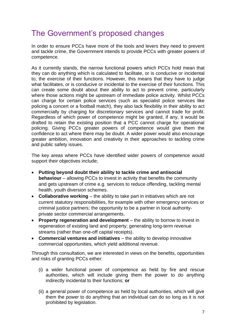### The Government's proposed changes

In order to ensure PCCs have more of the tools and levers they need to prevent and tackle crime, the Government intends to provide PCCs with greater powers of competence.

As it currently stands, the narrow functional powers which PCCs hold mean that they can do anything which is calculated to facilitate, or is conducive or incidental to, the exercise of their functions. However, this means that they have to judge what facilitates, or is conducive or incidental to the exercise of their functions. This can create some doubt about their ability to act to prevent crime, particularly where those actions might be upstream of immediate police activity. Whilst PCCs can charge for certain police services (such as specialist police services like policing a concert or a football match), they also lack flexibility in their ability to act commercially by charging for discretionary services and cannot trade for profit. Regardless of which power of competence might be granted, if any, it would be drafted to retain the existing position that a PCC cannot charge for operational policing. Giving PCCs greater powers of competence would give them the confidence to act where there may be doubt. A wider power would also encourage greater ambition, innovation and creativity in their approaches to tackling crime and public safety issues.

The key areas where PCCs have identified wider powers of competence would support their objectives include;

- **Putting beyond doubt their ability to tackle crime and antisocial behaviour** – allowing PCCs to invest in activity that benefits the community and gets upstream of crime e.g. services to reduce offending, tackling mental health, youth diversion schemes.
- **Collaborative working** the ability to take part in initiatives which are not current statutory responsibilities, for example with other emergency services or criminal justice partners; the opportunity to be a partner in local authorityprivate sector commercial arrangements.
- **Property regeneration and development** the ability to borrow to invest in regeneration of existing land and property; generating long-term revenue streams (rather than one-off capital receipts).
- **Commercial ventures and initiatives** the ability to develop innovative commercial opportunities, which yield additional revenue.

Through this consultation, we are interested in views on the benefits, opportunities and risks of granting PCCs either:

- (i) a wider functional power of competence as held by fire and rescue authorities, which will include giving them the power to do anything indirectly incidental to their functions; **or**
- (ii) a general power of competence as held by local authorities, which will give them the power to do anything that an individual can do so long as it is not prohibited by legislation.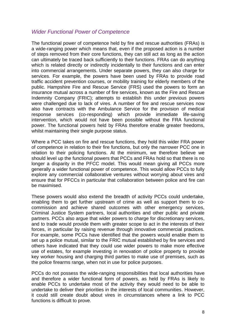#### *Wider Functional Power of Competence*

The functional power of competence held by fire and rescue authorities (FRAs) is a wide-ranging power which means that, even if the proposed action is a number of steps removed from their core functions, they can still act as long as the action can ultimately be traced back sufficiently to their functions. FRAs can do anything which is related directly or indirectly incidentally to their functions and can enter into commercial arrangements. Under separate powers, they can also charge for services. For example, the powers have been used by FRAs to provide road traffic accident prevention courses, or mobility training for elderly members of the public. Hampshire Fire and Rescue Service (FRS) used the powers to form an insurance mutual across a number of fire services, known as the Fire and Rescue Indemnity Company (FRIC); attempts to establish this under previous powers were challenged due to lack of vires. A number of fire and rescue services now also have contracts with the Ambulance Service for the provision of medical response services (co-responding) which provide immediate life-saving intervention, which would not have been possible without the FRA functional power. The functional powers held by FRAs therefore enable greater freedoms, whilst maintaining their single purpose status.

Where a PCC takes on fire and rescue functions, they hold this wider FRA power of competence in relation to their fire functions, but only the narrower PCC one in relation to their policing functions. At the minimum, we therefore believe we should level up the functional powers that PCCs and FRAs hold so that there is no longer a disparity in the PFCC model. This would mean giving all PCCs more generally a wider functional power of competence. This would allow PCCs to fully explore any commercial collaborative ventures without worrying about vires and ensure that for PFCCs in particular that collaboration between police and fire can be maximised.

These powers would also extend the breadth of activity PCCs could undertake, enabling them to get further upstream of crime as well as support them to cocommission and achieve shared outcomes with other emergency services, Criminal Justice System partners, local authorities and other public and private partners. PCCs also argue that wider powers to charge for discretionary services, and to trade would provide them with greater scope to act in the interests of their forces, in particular by raising revenue through innovative commercial practices. For example, some PCCs have identified that the powers would enable them to set up a police mutual, similar to the FRIC mutual established by fire services and others have indicated that they could use wider powers to make more effective use of estates, for example investing in renovation of police property to provide key worker housing and charging third parties to make use of premises, such as the police firearms range, when not in use for police purposes.

PCCs do not possess the wide-ranging responsibilities that local authorities have and therefore a wider functional form of powers, as held by FRAs is likely to enable PCCs to undertake most of the activity they would need to be able to undertake to deliver their priorities in the interests of local communities. However, it could still create doubt about vires in circumstances where a link to PCC functions is difficult to prove.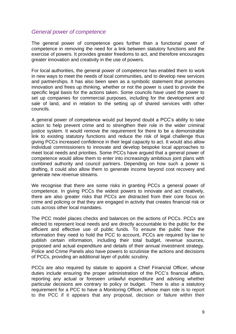#### *General power of competence*

The general power of competence goes further than a functional power of competence in removing the need for a link between statutory functions and the exercise of powers. It provides greater freedoms to act, and therefore encourages greater innovation and creativity in the use of powers.

For local authorities, the general power of competence has enabled them to work in new ways to meet the needs of local communities, and to develop new services and partnerships. It has also been seen as a symbolic statement that promotes innovation and frees up thinking, whether or not the power is used to provide the specific legal basis for the actions taken. Some councils have used the power to set up companies for commercial purposes, including for the development and sale of land, and in relation to the setting up of shared services with other councils.

A general power of competence would put beyond doubt a PCC's ability to take action to help prevent crime and to strengthen their role in the wider criminal justice system. It would remove the requirement for there to be a demonstrable link to existing statutory functions and reduce the risk of legal challenge thus giving PCCs increased confidence in their legal capacity to act. It would also allow individual commissioners to innovate and develop bespoke local approaches to meet local needs and priorities. Some PCCs have argued that a general power of competence would allow them to enter into increasingly ambitious joint plans with combined authority and council partners. Depending on how such a power is drafting, it could also allow them to generate income beyond cost recovery and generate new revenue streams.

We recognise that there are some risks in granting PCCs a general power of competence. In giving PCCs the widest powers to innovate and act creatively, there are also greater risks that PCCs are distracted from their core focus on crime and policing or that they are engaged in activity that creates financial risk or cuts across other local mandates.

The PCC model places checks and balances on the actions of PCCs. PCCs are elected to represent local needs and are directly accountable to the public for the efficient and effective use of public funds. To ensure the public have the information they need to hold the PCC to account, PCCs are required by law to publish certain information, including their total budget, revenue sources, proposed and actual expenditure and details of their annual investment strategy. Police and Crime Panels also have powers to scrutinise the actions and decisions of PCCs, providing an additional layer of public scrutiny.

PCCs are also required by statute to appoint a Chief Financial Officer, whose duties include ensuring the proper administration of the PCC's financial affairs, reporting any actual or foreseen unlawful expenditure and advising whether particular decisions are contrary to policy or budget. There is also a statutory requirement for a PCC to have a Monitoring Officer, whose main role is to report to the PCC if it appears that any proposal, decision or failure within their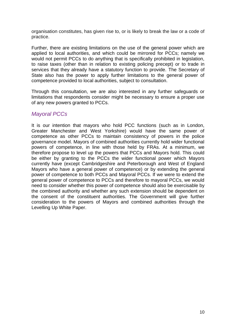organisation constitutes, has given rise to, or is likely to break the law or a code of practice.

Further, there are existing limitations on the use of the general power which are applied to local authorities, and which could be mirrored for PCCs; namely we would not permit PCCs to do anything that is specifically prohibited in legislation, to raise taxes (other than in relation to existing policing precept) or to trade in services that they already have a statutory function to provide. The Secretary of State also has the power to apply further limitations to the general power of competence provided to local authorities, subject to consultation.

Through this consultation, we are also interested in any further safeguards or limitations that respondents consider might be necessary to ensure a proper use of any new powers granted to PCCs.

#### *Mayoral PCCs*

It is our intention that mayors who hold PCC functions (such as in London, Greater Manchester and West Yorkshire) would have the same power of competence as other PCCs to maintain consistency of powers in the police governance model. Mayors of combined authorities currently hold wider functional powers of competence, in line with those held by FRAs. At a minimum, we therefore propose to level up the powers that PCCs and Mayors hold. This could be either by granting to the PCCs the wider functional power which Mayors currently have (except Cambridgeshire and Peterborough and West of England Mayors who have a general power of competence) or by extending the general power of competence to both PCCs and Mayoral PCCs. If we were to extend the general power of competence to PCCs and therefore to mayoral PCCs, we would need to consider whether this power of competence should also be exercisable by the combined authority and whether any such extension should be dependent on the consent of the constituent authorities. The Government will give further consideration to the powers of Mayors and combined authorities through the Levelling Up White Paper.